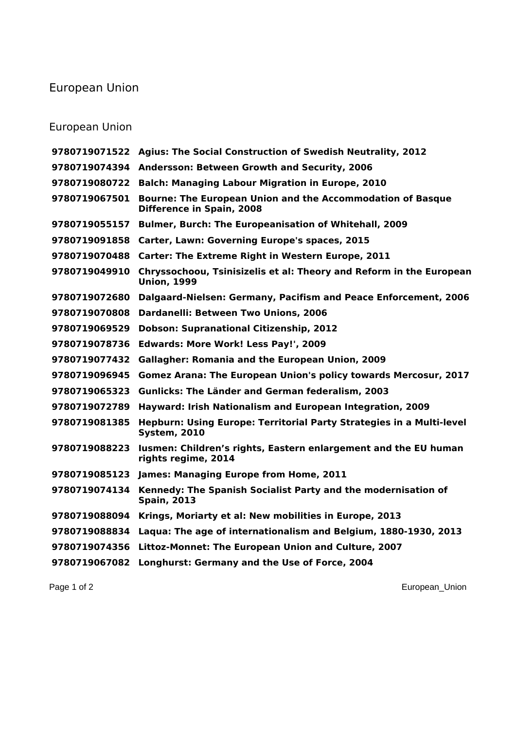## European Union

## European Union

|               | 9780719071522 Agius: The Social Construction of Swedish Neutrality, 2012                       |
|---------------|------------------------------------------------------------------------------------------------|
|               | 9780719074394 Andersson: Between Growth and Security, 2006                                     |
| 9780719080722 | <b>Balch: Managing Labour Migration in Europe, 2010</b>                                        |
| 9780719067501 | <b>Bourne: The European Union and the Accommodation of Basque</b><br>Difference in Spain, 2008 |
| 9780719055157 | <b>Bulmer, Burch: The Europeanisation of Whitehall, 2009</b>                                   |
| 9780719091858 | Carter, Lawn: Governing Europe's spaces, 2015                                                  |
| 9780719070488 | Carter: The Extreme Right in Western Europe, 2011                                              |
| 9780719049910 | Chryssochoou, Tsinisizelis et al: Theory and Reform in the European<br><b>Union, 1999</b>      |
| 9780719072680 | Dalgaard-Nielsen: Germany, Pacifism and Peace Enforcement, 2006                                |
| 9780719070808 | <b>Dardanelli: Between Two Unions, 2006</b>                                                    |
| 9780719069529 | <b>Dobson: Supranational Citizenship, 2012</b>                                                 |
| 9780719078736 | Edwards: More Work! Less Pay!', 2009                                                           |
| 9780719077432 | <b>Gallagher: Romania and the European Union, 2009</b>                                         |
| 9780719096945 | Gomez Arana: The European Union's policy towards Mercosur, 2017                                |
| 9780719065323 | Gunlicks: The Länder and German federalism, 2003                                               |
| 9780719072789 | Hayward: Irish Nationalism and European Integration, 2009                                      |
| 9780719081385 | Hepburn: Using Europe: Territorial Party Strategies in a Multi-level<br><b>System, 2010</b>    |
| 9780719088223 | Iusmen: Children's rights, Eastern enlargement and the EU human<br>rights regime, 2014         |
|               | 9780719085123 James: Managing Europe from Home, 2011                                           |
| 9780719074134 | Kennedy: The Spanish Socialist Party and the modernisation of<br><b>Spain, 2013</b>            |
| 9780719088094 | Krings, Moriarty et al: New mobilities in Europe, 2013                                         |
| 9780719088834 | Laqua: The age of internationalism and Belgium, 1880-1930, 2013                                |
| 9780719074356 | Littoz-Monnet: The European Union and Culture, 2007                                            |
| 9780719067082 | Longhurst: Germany and the Use of Force, 2004                                                  |
|               |                                                                                                |

Page 1 of 2 European\_Union